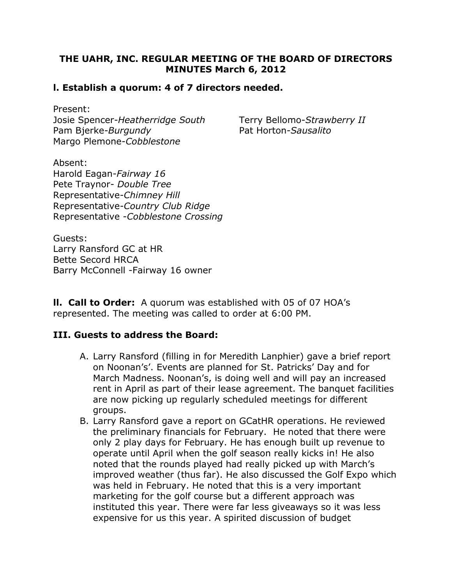## THE UAHR, INC. REGULAR MEETING OF THE BOARD OF DIRECTORS MINUTES March 6, 2012

### l. Establish a quorum: 4 of 7 directors needed.

Present: Josie Spencer-Heatherridge South Terry Bellomo-Strawberry II Pam Bjerke-Burgundy Pat Horton-Sausalito Margo Plemone-Cobblestone

Absent: Harold Eagan-Fairway 16 Pete Traynor- Double Tree Representative-Chimney Hill Representative-Country Club Ridge Representative -Cobblestone Crossing

Guests: Larry Ransford GC at HR Bette Secord HRCA Barry McConnell -Fairway 16 owner

**II. Call to Order:** A quorum was established with 05 of 07 HOA's represented. The meeting was called to order at 6:00 PM.

### III. Guests to address the Board:

- A. Larry Ransford (filling in for Meredith Lanphier) gave a brief report on Noonan's'. Events are planned for St. Patricks' Day and for March Madness. Noonan's, is doing well and will pay an increased rent in April as part of their lease agreement. The banquet facilities are now picking up regularly scheduled meetings for different groups.
- B. Larry Ransford gave a report on GCatHR operations. He reviewed the preliminary financials for February. He noted that there were only 2 play days for February. He has enough built up revenue to operate until April when the golf season really kicks in! He also noted that the rounds played had really picked up with March's improved weather (thus far). He also discussed the Golf Expo which was held in February. He noted that this is a very important marketing for the golf course but a different approach was instituted this year. There were far less giveaways so it was less expensive for us this year. A spirited discussion of budget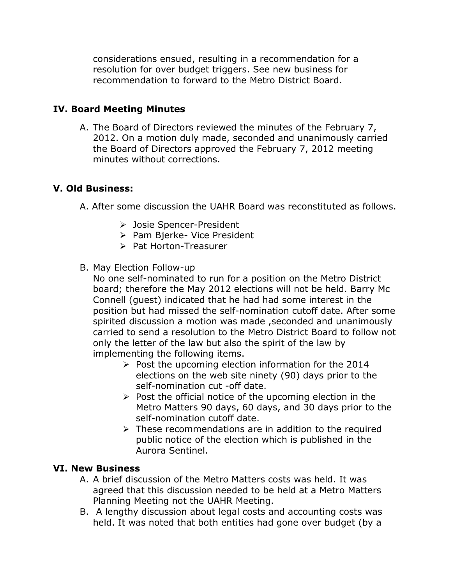considerations ensued, resulting in a recommendation for a resolution for over budget triggers. See new business for recommendation to forward to the Metro District Board.

# IV. Board Meeting Minutes

A. The Board of Directors reviewed the minutes of the February 7, 2012. On a motion duly made, seconded and unanimously carried the Board of Directors approved the February 7, 2012 meeting minutes without corrections.

## V. Old Business:

- A. After some discussion the UAHR Board was reconstituted as follows.
	- Josie Spencer-President
	- > Pam Bierke- Vice President
	- > Pat Horton-Treasurer
- B. May Election Follow-up

No one self-nominated to run for a position on the Metro District board; therefore the May 2012 elections will not be held. Barry Mc Connell (guest) indicated that he had had some interest in the position but had missed the self-nomination cutoff date. After some spirited discussion a motion was made ,seconded and unanimously carried to send a resolution to the Metro District Board to follow not only the letter of the law but also the spirit of the law by implementing the following items.

- $\triangleright$  Post the upcoming election information for the 2014 elections on the web site ninety (90) days prior to the self-nomination cut -off date.
- $\triangleright$  Post the official notice of the upcoming election in the Metro Matters 90 days, 60 days, and 30 days prior to the self-nomination cutoff date.
- $\triangleright$  These recommendations are in addition to the required public notice of the election which is published in the Aurora Sentinel.

## VI. New Business

- A. A brief discussion of the Metro Matters costs was held. It was agreed that this discussion needed to be held at a Metro Matters Planning Meeting not the UAHR Meeting.
- B. A lengthy discussion about legal costs and accounting costs was held. It was noted that both entities had gone over budget (by a